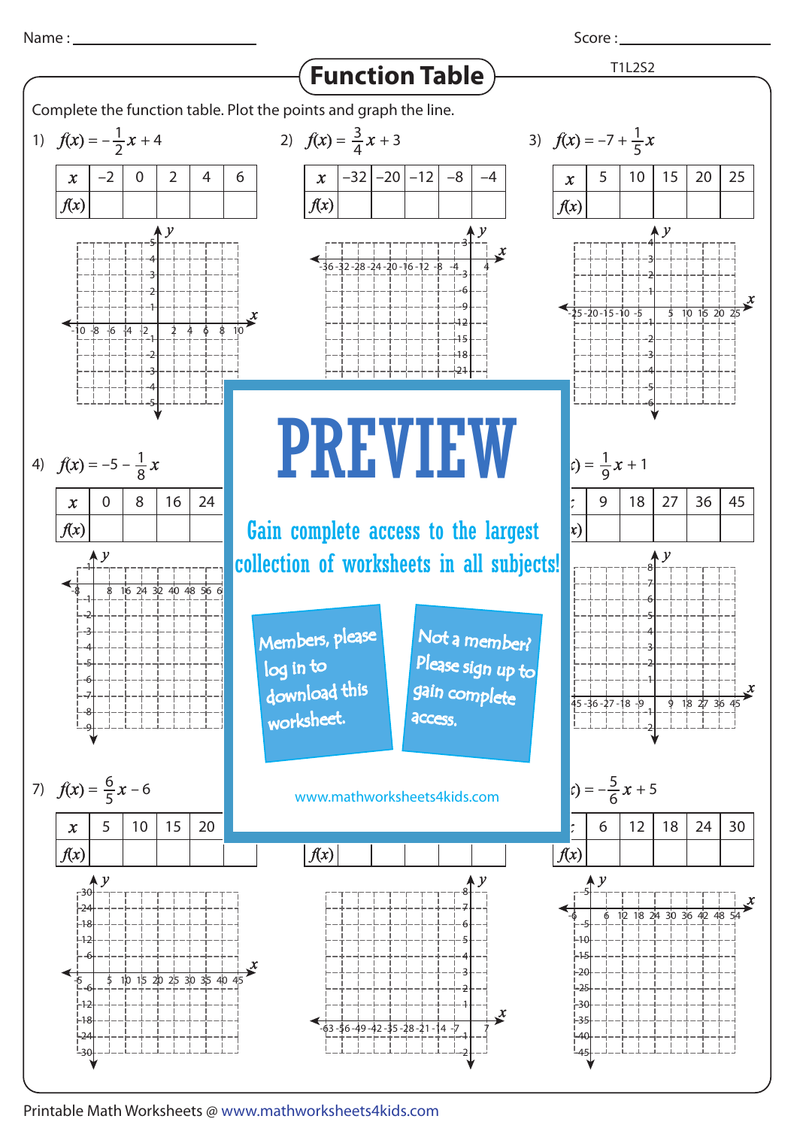

Score : \_\_\_\_\_\_\_



Printable Math Worksheets @ www.mathworksheets4kids.com